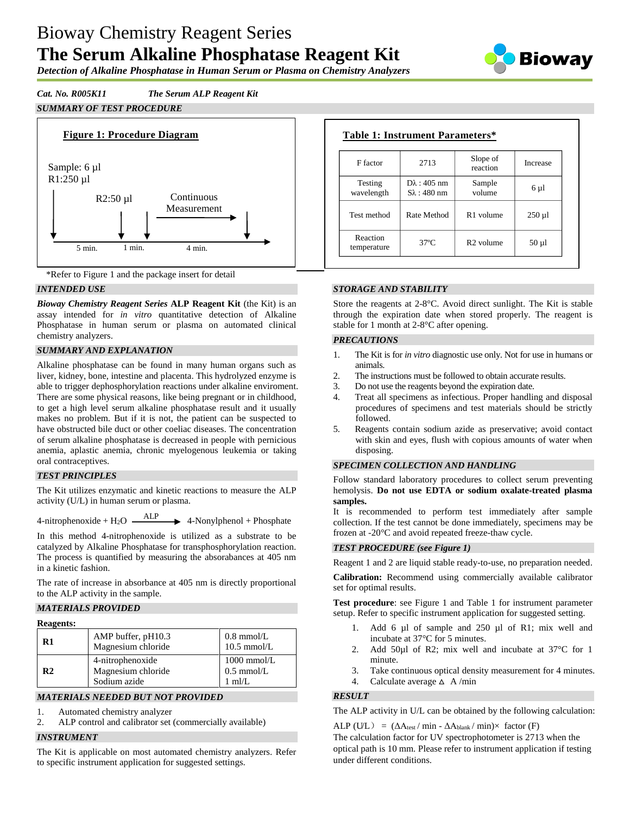# Bioway Chemistry Reagent Series **The Serum Alkaline Phosphatase Reagent Kit**



*Detection of Alkaline Phosphatase in Human Serum or Plasma on Chemistry Analyzers*

# *Cat. No. R005K11 The Serum ALP Reagent Kit*

# *SUMMARY OF TEST PROCEDURE*





### *INTENDED USE*

*Bioway Chemistry Reagent Series* **ALP Reagent Kit** (the Kit) is an assay intended for *in vitro* quantitative detection of Alkaline Phosphatase in human serum or plasma on automated clinical chemistry analyzers.

### *SUMMARY AND EXPLANATION*

Alkaline phosphatase can be found in many human organs such as liver, kidney, bone, intestine and placenta. This hydrolyzed enzyme is able to trigger dephosphorylation reactions under alkaline enviroment. There are some physical reasons, like being pregnant or in childhood, to get a high level serum alkaline phosphatase result and it usually makes no problem. But if it is not, the patient can be suspected to have obstructed bile duct or other coeliac diseases. The concentration of serum alkaline phosphatase is decreased in people with pernicious anemia, aplastic anemia, chronic myelogenous leukemia or taking oral contraceptives.

### *TEST PRINCIPLES*

The Kit utilizes enzymatic and kinetic reactions to measure the ALP activity (U/L) in human serum or plasma.

4-nitrophenoxide +  $H_2O$   $\longrightarrow$  ALP  $\rightarrow$  4-Nonylphenol + Phosphate

In this method 4-nitrophenoxide is utilized as a substrate to be catalyzed by Alkaline Phosphatase for transphosphorylation reaction. The process is quantified by measuring the absorabances at 405 nm in a kinetic fashion.

The rate of increase in absorbance at 405 nm is directly proportional to the ALP activity in the sample.

## *MATERIALS PROVIDED*

| <b>Reagents:</b> |
|------------------|
|------------------|

| 1.1.011.01.01  |                                                        |                                                   |  |  |  |
|----------------|--------------------------------------------------------|---------------------------------------------------|--|--|--|
| R1             | AMP buffer, pH10.3<br>Magnesium chloride               | $0.8$ mmol/L<br>$10.5$ mmol/L                     |  |  |  |
| R <sub>2</sub> | 4-nitrophenoxide<br>Magnesium chloride<br>Sodium azide | $1000$ mmol/L<br>$0.5$ mmol/L<br>$1 \text{ ml/L}$ |  |  |  |

### *MATERIALS NEEDED BUT NOT PROVIDED*

1. Automated chemistry analyzer

2. ALP control and calibrator set (commercially available)

### *INSTRUMENT*

The Kit is applicable on most automated chemistry analyzers. Refer to specific instrument application for suggested settings.

| F factor                | 2713                                          | Slope of<br>reaction  | Increase    |
|-------------------------|-----------------------------------------------|-----------------------|-------------|
| Testing<br>wavelength   | $D\lambda$ : 405 nm<br>$S_{\lambda}$ : 480 nm | Sample<br>volume      | 6 µ1        |
| Test method             | Rate Method                                   | R <sub>1</sub> volume | $250 \mu l$ |
| Reaction<br>temperature | $37^{\circ}$ C                                | R <sub>2</sub> volume | $50 \mu l$  |

# *STORAGE AND STABILITY*

Store the reagents at 2-8°C. Avoid direct sunlight. The Kit is stable through the expiration date when stored properly. The reagent is stable for 1 month at 2-8°C after opening.

## *PRECAUTIONS*

- 1. The Kit is for *in vitro* diagnostic use only. Not for use in humans or animals.
- 2. The instructions must be followed to obtain accurate results.
- 3. Do not use the reagents beyond the expiration date.
- 4. Treat all specimens as infectious. Proper handling and disposal procedures of specimens and test materials should be strictly followed.
- 5. Reagents contain sodium azide as preservative; avoid contact with skin and eyes, flush with copious amounts of water when disposing.

#### *SPECIMEN COLLECTION AND HANDLING*

Follow standard laboratory procedures to collect serum preventing hemolysis. **Do not use EDTA or sodium oxalate-treated plasma samples.**

It is recommended to perform test immediately after sample collection. If the test cannot be done immediately, specimens may be frozen at -20°C and avoid repeated freeze-thaw cycle.

#### *TEST PROCEDURE (see Figure 1)*

Reagent 1 and 2 are liquid stable ready-to-use, no preparation needed.

**Calibration:** Recommend using commercially available calibrator set for optimal results.

**Test procedure**: see Figure 1 and Table 1 for instrument parameter setup. Refer to specific instrument application for suggested setting.

- 1. Add 6 µl of sample and 250 µl of R1; mix well and incubate at 37°C for 5 minutes.
- 2. Add 50µl of R2; mix well and incubate at 37°C for 1 minute.
- 3. Take continuous optical density measurement for 4 minutes.
- 4. Calculate average  $\triangle$  A/min

### *RESULT*

The ALP activity in U/L can be obtained by the following calculation:

 $ALP (UL) = (\Delta A_{\text{test}} / \min - \Delta A_{\text{blank}} / \min) \times \text{ factor (F)}$ 

The calculation factor for UV spectrophotometer is 2713 when the optical path is 10 mm. Please refer to instrument application if testing under different conditions.